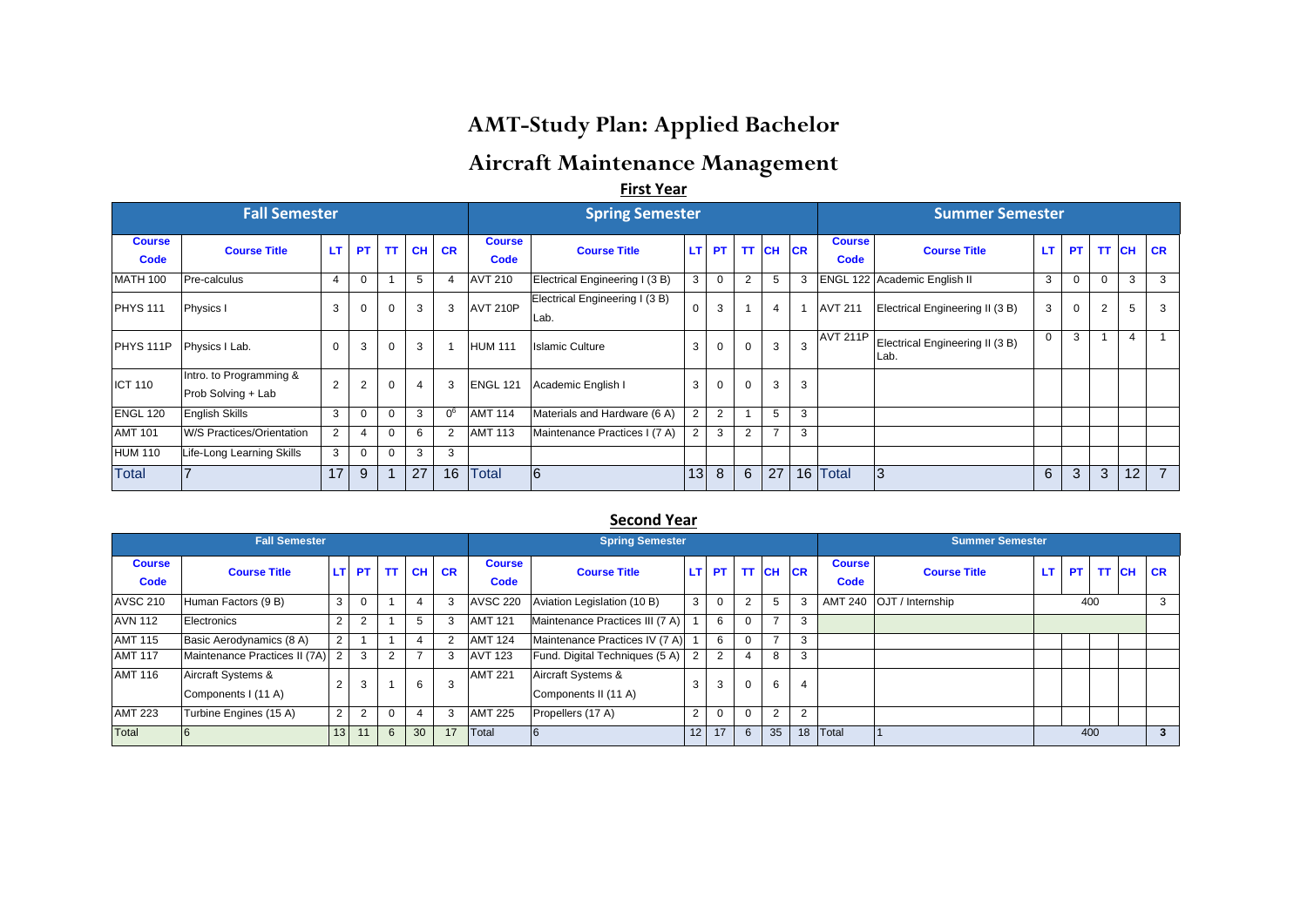# **AMT-Study Plan: Applied Bachelor**

## **Aircraft Maintenance Management**

**First Year**

|                       | <b>Fall Semester</b>                          |                |                |          |    |       |                              | <b>Spring Semester</b>                 |                |             |          |               |           |                              | <b>Summer Semester</b>                  |             |           |             |           |                |
|-----------------------|-----------------------------------------------|----------------|----------------|----------|----|-------|------------------------------|----------------------------------------|----------------|-------------|----------|---------------|-----------|------------------------------|-----------------------------------------|-------------|-----------|-------------|-----------|----------------|
| <b>Course</b><br>Code | <b>Course Title</b>                           | LT.            | <b>PT</b>      | TT.      |    | CH CR | <b>Course</b><br><b>Code</b> | <b>Course Title</b>                    | LT.            | PT          | TT.      | <b>CH</b>     | <b>CR</b> | <b>Course</b><br><b>Code</b> | <b>Course Title</b>                     | <b>LT</b>   | <b>PT</b> | <b>TT</b>   | <b>CH</b> | <b>CR</b>      |
| <b>MATH 100</b>       | Pre-calculus                                  | $\overline{4}$ | 0              |          | 5  |       | <b>AVT 210</b>               | Electrical Engineering I (3 B)         | 3              | $\mathbf 0$ | 2        | 5             | 3         |                              | ENGL 122 Academic English II            | 3           |           | $\mathbf 0$ | 3         | 3              |
| <b>PHYS 111</b>       | Physics I                                     | 3              | $\mathbf 0$    | 0        | 3  | 3     | <b>AVT 210P</b>              | Electrical Engineering I (3 B)<br>Lab. | $\Omega$       | 3           |          | 4             |           | <b>AVT 211</b>               | Electrical Engineering II (3 B)         | 3           | $\Omega$  | 2           | 5         | 3              |
| PHYS <sub>111P</sub>  | Physics I Lab.                                | $\Omega$       | 3              | 0        | 3  |       | <b>HUM 111</b>               | <b>Islamic Culture</b>                 | 3              | $\Omega$    | $\Omega$ | 3             | 3         | <b>AVT 211P</b>              | Electrical Engineering II (3 B)<br>Lab. | $\mathbf 0$ | 3         |             | 4         |                |
| <b>ICT 110</b>        | Intro. to Programming &<br>Prob Solving + Lab | $\overline{2}$ | $\overline{2}$ | 0        |    |       | <b>ENGL 121</b>              | Academic English I                     | 3              | 0           | 0        | 3             | 3         |                              |                                         |             |           |             |           |                |
| <b>ENGL 120</b>       | <b>English Skills</b>                         | 3              |                | $\Omega$ | 3  | 06    | <b>AMT 114</b>               | Materials and Hardware (6 A)           | $\overline{2}$ | 2           |          | 5             | 3         |                              |                                         |             |           |             |           |                |
| <b>AMT 101</b>        | W/S Practices/Orientation                     | $\overline{2}$ |                | $\Omega$ | 6  |       | <b>AMT 113</b>               | Maintenance Practices I (7 A)          | 2              | 3           | 2        | $\rightarrow$ | 3         |                              |                                         |             |           |             |           |                |
| HUM 110               | Life-Long Learning Skills                     | 3              | $\Omega$       | $\Omega$ | 3  | 3     |                              |                                        |                |             |          |               |           |                              |                                         |             |           |             |           |                |
| Total                 |                                               | 17             | 9              |          | 27 | 16    | <b>Total</b>                 | 6                                      | 13             | 8           | 6        | 27            |           | 16 Total                     | 13                                      | 6           | 3         | 3           | 12        | $\overline{7}$ |

#### **Second Year**

|                       | <b>Fall Semester</b>                      |                 |           |           |           |           |                       | <b>Spring Semester</b>                     |                 |                |   |                |                |                       | <b>Summer Semester</b>     |     |           |       |           |
|-----------------------|-------------------------------------------|-----------------|-----------|-----------|-----------|-----------|-----------------------|--------------------------------------------|-----------------|----------------|---|----------------|----------------|-----------------------|----------------------------|-----|-----------|-------|-----------|
| <b>Course</b><br>Code | <b>Course Title</b>                       | LT I            | <b>PT</b> | <b>TT</b> | <b>CH</b> | <b>CR</b> | <b>Course</b><br>Code | <b>Course Title</b>                        |                 | LT PT TT CH CR |   |                |                | <b>Course</b><br>Code | <b>Course Title</b>        | LT. | <b>PT</b> | TT CH | <b>CR</b> |
| <b>AVSC 210</b>       | Human Factors (9 B)                       | 3               |           |           |           |           | <b>AVSC 220</b>       | Aviation Legislation (10 B)                | 3               | $\Omega$       | 2 | 5              | 3              |                       | AMT 240   OJT / Internship |     | 400       |       | 3         |
| <b>AVN 112</b>        | Electronics                               | $\Omega$        |           |           |           |           | <b>AMT 121</b>        | Maintenance Practices III (7 A)            |                 | 6              |   | $\rightarrow$  | 3              |                       |                            |     |           |       |           |
| <b>AMT 115</b>        | Basic Aerodynamics (8 A)                  | $\overline{2}$  |           |           |           |           | <b>AMT 124</b>        | Maintenance Practices IV (7 A)             |                 | 6              |   |                | 3              |                       |                            |     |           |       |           |
| <b>AMT 117</b>        | Maintenance Practices II (7A)             | 2               | 3         |           |           |           | <b>AVT 123</b>        | Fund. Digital Techniques (5 A)             | $\overline{2}$  | $\overline{2}$ |   | 8              | 3              |                       |                            |     |           |       |           |
| <b>AMT 116</b>        | Aircraft Systems &<br>Components I (11 A) |                 | 3         |           | 6         |           | <b>AMT 221</b>        | Aircraft Systems &<br>Components II (11 A) | 3               |                |   | 6              |                |                       |                            |     |           |       |           |
| <b>AMT 223</b>        | Turbine Engines (15 A)                    | $\overline{2}$  | 2         | $\Omega$  |           |           | <b>AMT 225</b>        | Propellers (17 A)                          | $\overline{2}$  | $\mathbf 0$    |   | $\overline{2}$ | $\overline{2}$ |                       |                            |     |           |       |           |
| Total                 |                                           | 13 <sup>1</sup> | 11        | 6         | 30        | 17        | <b>Total</b>          |                                            | 12 <sup>1</sup> | 17             | 6 | 35             | 18             | Total                 |                            |     | 400       |       | 3         |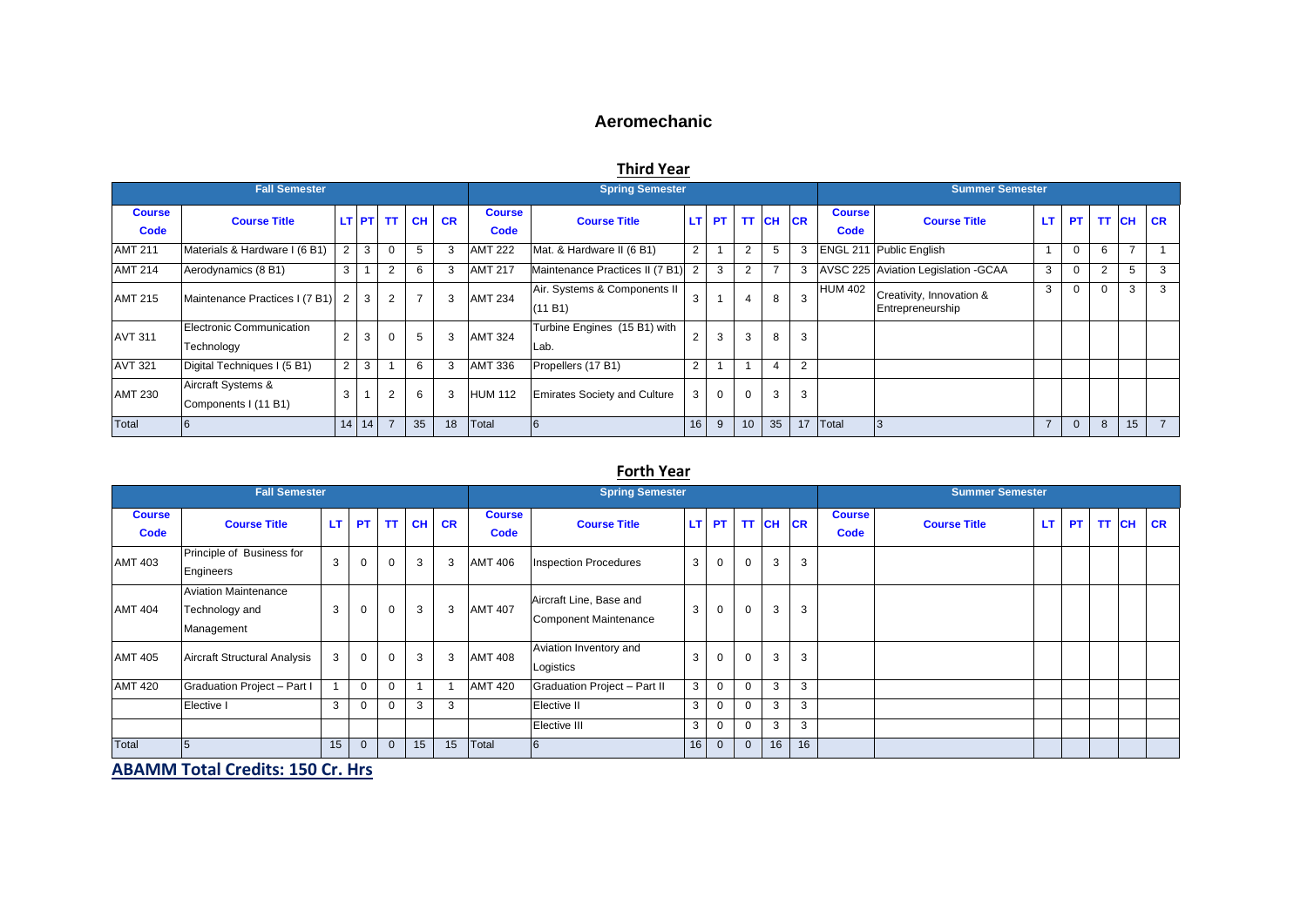## **Aeromechanic**

## **Third Year**

|                       | <b>Fall Semester</b>                       |                |         |                |           |           |                       | <b>Spring Semester</b>                  |                |           |                |                |                |                       | <b>Summer Semester</b>                       |     |                |    |           |
|-----------------------|--------------------------------------------|----------------|---------|----------------|-----------|-----------|-----------------------|-----------------------------------------|----------------|-----------|----------------|----------------|----------------|-----------------------|----------------------------------------------|-----|----------------|----|-----------|
| <b>Course</b><br>Code | <b>Course Title</b>                        |                |         | LT PT TT       | <b>CH</b> | <b>CR</b> | <b>Course</b><br>Code | <b>Course Title</b>                     | LT.            | <b>PT</b> | <b>TT</b>      | <b>CH CR</b>   |                | <b>Course</b><br>Code | <b>Course Title</b>                          | LT. | PT TT CH       |    | <b>CR</b> |
| <b>AMT 211</b>        | Materials & Hardware I (6 B1)              | $\mathcal{D}$  | 3       | $\Omega$       | 5         |           | <b>AMT 222</b>        | Mat. & Hardware II (6 B1)               | 2              |           | 2              | 5              | 3              |                       | <b>ENGL 211 Public English</b>               |     | 6              |    |           |
| <b>AMT 214</b>        | Aerodynamics (8 B1)                        | 3              |         | $\overline{2}$ | 6         |           | <b>AMT 217</b>        | Maintenance Practices II (7 B1)         | $\overline{2}$ | 3         | $\overline{2}$ | -              | 3              |                       | AVSC 225 Aviation Legislation - GCAA         | 3   | $\overline{2}$ | 5  |           |
| <b>AMT 215</b>        | Maintenance Practices I (7 B1)             | 2              | 3       | 2              |           |           | <b>AMT 234</b>        | Air. Systems & Components II<br>(11 B1) | 3              |           | 4              | 8              | 3              | <b>HUM 402</b>        | Creativity, Innovation &<br>Entrepreneurship | 3   | $\Omega$       | 3  | 3         |
| <b>AVT 311</b>        | Electronic Communication<br>Technology     |                | 3       | $\Omega$       | 5         |           | <b>AMT 324</b>        | Turbine Engines (15 B1) with<br>Lab.    | $\overline{2}$ | 3         | 3              | 8              | 3              |                       |                                              |     |                |    |           |
| <b>AVT 321</b>        | Digital Techniques I (5 B1)                | $\overline{2}$ | 3       |                | 6         |           | <b>AMT 336</b>        | Propellers (17 B1)                      | 2              |           |                | $\overline{4}$ | $\overline{2}$ |                       |                                              |     |                |    |           |
| <b>AMT 230</b>        | Aircraft Systems &<br>Components I (11 B1) | 3              |         | 2              | 6         |           | <b>HUM 112</b>        | <b>Emirates Society and Culture</b>     | 3              | $\Omega$  | $\Omega$       | 3              | 3              |                       |                                              |     |                |    |           |
| Total                 |                                            |                | $14$ 14 |                | 35        | 18        | Total                 | I O                                     | 16             | 9         |                | 35             | 17             | Total                 |                                              |     | 8              | 15 |           |

#### **Forth Year**

|                       | <b>Fall Semester</b>                                        |     |           |          |           |           |                       | <b>Spring Semester</b>                           |    |             |             |                |    |                       | <b>Summer Semester</b> |    |           |       |           |
|-----------------------|-------------------------------------------------------------|-----|-----------|----------|-----------|-----------|-----------------------|--------------------------------------------------|----|-------------|-------------|----------------|----|-----------------------|------------------------|----|-----------|-------|-----------|
| <b>Course</b><br>Code | <b>Course Title</b>                                         | LT. | <b>PT</b> | TT I     | <b>CH</b> | <b>CR</b> | <b>Course</b><br>Code | <b>Course Title</b>                              |    |             |             | LT PT TT CH CR |    | <b>Course</b><br>Code | <b>Course Title</b>    | LT | <b>PT</b> | TT CH | <b>CR</b> |
| <b>AMT 403</b>        | Principle of Business for<br>Engineers                      | 3   | 0         |          | 3         | 3         | <b>AMT 406</b>        | <b>Inspection Procedures</b>                     | 3  | 0           | $\mathbf 0$ | 3              | 3  |                       |                        |    |           |       |           |
| <b>AMT 404</b>        | <b>Aviation Maintenance</b><br>Technology and<br>Management | 3   | 0         | $\Omega$ | 3         | 3         | <b>AMT 407</b>        | Aircraft Line, Base and<br>Component Maintenance | 3  | 0           | $\mathbf 0$ | 3              | 3  |                       |                        |    |           |       |           |
| <b>AMT 405</b>        | Aircraft Structural Analysis                                | 3   | 0         |          | 3         | 3         | <b>AMT 408</b>        | Aviation Inventory and<br>Logistics              | 3  | 0           | $\mathbf 0$ | 3              | 3  |                       |                        |    |           |       |           |
| <b>AMT 420</b>        | Graduation Project - Part I                                 |     | $\Omega$  |          |           |           | <b>AMT 420</b>        | Graduation Project - Part II                     | 3  | $\mathbf 0$ | $\Omega$    | 3              | 3  |                       |                        |    |           |       |           |
|                       | Elective I                                                  | 3   |           |          | 3         | 3         |                       | Elective II                                      | 3  | $\mathbf 0$ | $\mathbf 0$ | 3              | 3  |                       |                        |    |           |       |           |
|                       |                                                             |     |           |          |           |           |                       | Elective III                                     | 3  | $\Omega$    | $\Omega$    | 3              | 3  |                       |                        |    |           |       |           |
| Total                 |                                                             | 15  | $\Omega$  |          | 15        | 15        | Total                 | 6                                                | 16 | $\Omega$    | $\Omega$    | 16             | 16 |                       |                        |    |           |       |           |

**ABAMM Total Credits: 150 Cr. Hrs**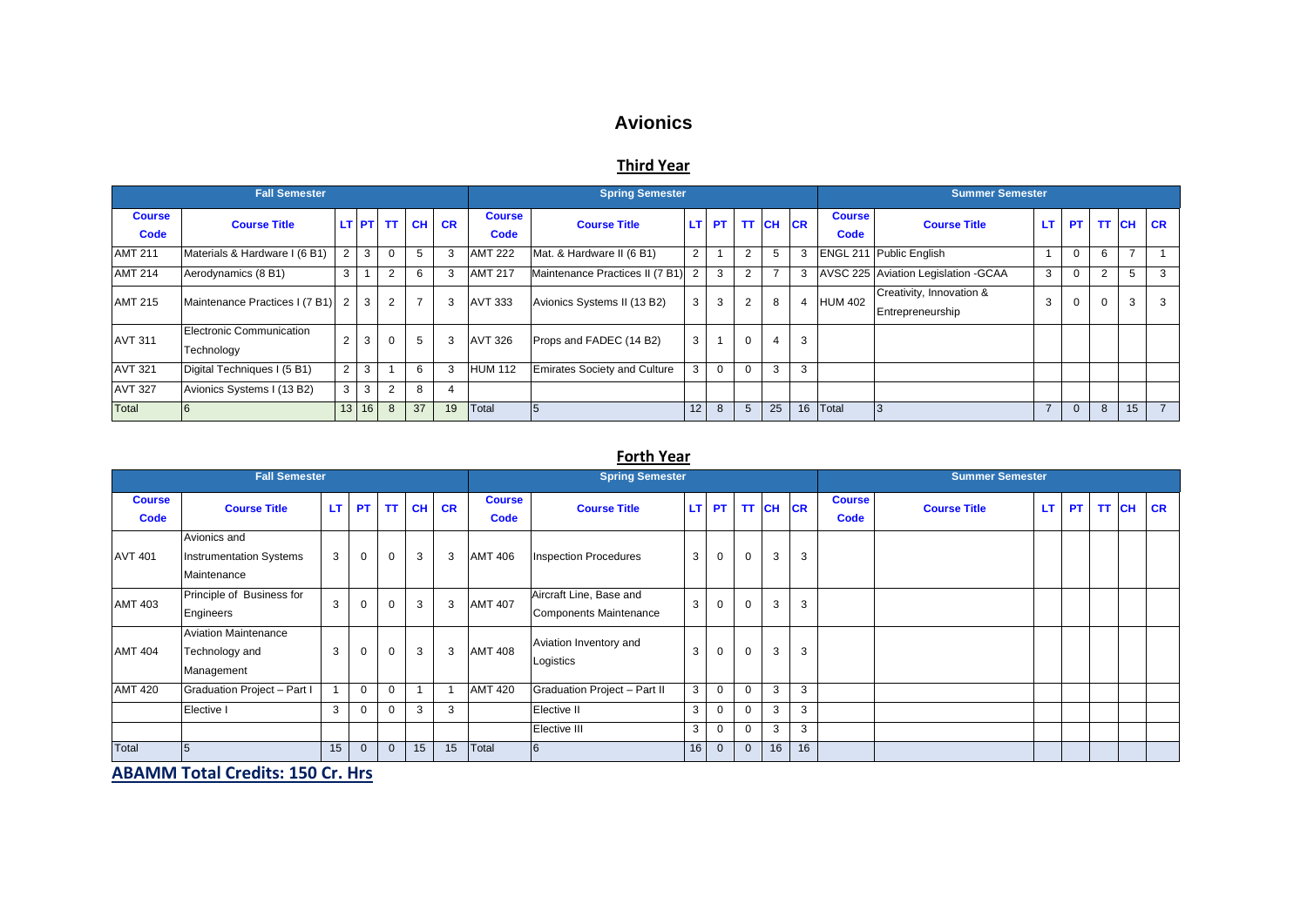## **Avionics**

### **Third Year**

|                       | <b>Fall Semester</b>                   |                |                 |                |    |                |                       | <b>Spring Semester</b>              |                      |          |                |                |    |                       | <b>Summer Semester</b>                       |           |           |       |    |                |
|-----------------------|----------------------------------------|----------------|-----------------|----------------|----|----------------|-----------------------|-------------------------------------|----------------------|----------|----------------|----------------|----|-----------------------|----------------------------------------------|-----------|-----------|-------|----|----------------|
| <b>Course</b><br>Code | <b>Course Title</b>                    |                |                 |                |    | LT PT TT CH CR | <b>Course</b><br>Code | <b>Course Title</b>                 |                      |          |                | LT PT TT CH CR |    | <b>Course</b><br>Code | <b>Course Title</b>                          | <b>LT</b> | <b>PT</b> | TT CH |    | <b>CR</b>      |
| <b>AMT 211</b>        | Materials & Hardware I (6 B1)          | $\overline{2}$ | 3               | $\Omega$       | 5  |                | <b>AMT 222</b>        | Mat. & Hardware II (6 B1)           | $\mathbf{2}^{\circ}$ |          | 2              | 5              |    |                       | ENGL 211 Public English                      |           | 0         | 6     |    |                |
| <b>AMT 214</b>        | Aerodynamics (8 B1)                    | 3              |                 | $\overline{2}$ | 6  |                | <b>AMT 217</b>        | Maintenance Practices II (7 B1) 2   |                      | 3        | $\overline{2}$ |                |    |                       | AVSC 225 Aviation Legislation - GCAA         | 3         | $\Omega$  | 2     | 5  |                |
| <b>AMT 215</b>        | Maintenance Practices I (7 B1) 2       |                | 3               | $\overline{2}$ |    |                | AVT 333               | Avionics Systems II (13 B2)         | 3                    | 3        | 2              | 8              |    | <b>HUM 402</b>        | Creativity, Innovation &<br>Entrepreneurship | 3         | $\Omega$  | 0     | 3  |                |
| <b>AVT 311</b>        | Electronic Communication<br>Technology | 2              | 3               | $\Omega$       | 5  |                | <b>AVT 326</b>        | Props and FADEC (14 B2)             | 3                    |          | $\Omega$       |                | 3  |                       |                                              |           |           |       |    |                |
| <b>AVT 321</b>        | Digital Techniques I (5 B1)            | $\overline{2}$ | 3               |                | 6  |                | <b>HUM 112</b>        | <b>Emirates Society and Culture</b> | 3                    | $\Omega$ | $\Omega$       | 3              | 3  |                       |                                              |           |           |       |    |                |
| <b>AVT 327</b>        | Avionics Systems I (13 B2)             | 3              | 3               | $\overline{2}$ | 8  |                |                       |                                     |                      |          |                |                |    |                       |                                              |           |           |       |    |                |
| Total                 |                                        | 13             | 16 <sup>1</sup> | 8              | 37 | 19             | Total                 | 5                                   | 12                   | 8        |                | 25             | 16 | <b>T</b> otal         |                                              |           | $\Omega$  | 8     | 15 | $\overline{7}$ |

#### **Forth Year**

|                              | <b>Fall Semester</b>                                          |    |                |              |           |           |                              | <b>Spring Semester</b>                                   |                |              |             |                |    |                              | <b>Summer Semester</b> |    |          |           |
|------------------------------|---------------------------------------------------------------|----|----------------|--------------|-----------|-----------|------------------------------|----------------------------------------------------------|----------------|--------------|-------------|----------------|----|------------------------------|------------------------|----|----------|-----------|
| <b>Course</b><br><b>Code</b> | <b>Course Title</b>                                           | LT | <b>PT</b>      | TT           | <b>CH</b> | <b>CR</b> | <b>Course</b><br><b>Code</b> | <b>Course Title</b>                                      |                |              |             | LT PT TT CH CR |    | <b>Course</b><br><b>Code</b> | <b>Course Title</b>    | LT | PT TT CH | <b>CR</b> |
| <b>AVT 401</b>               | Avionics and<br><b>Instrumentation Systems</b><br>Maintenance | 3  | $\mathbf 0$    | $\Omega$     | 3         | 3         | <b>AMT 406</b>               | <b>Inspection Procedures</b>                             | 3              | $\mathbf 0$  | $\mathbf 0$ | 3              | 3  |                              |                        |    |          |           |
| <b>AMT 403</b>               | Principle of Business for<br>Engineers                        | 3  | $\Omega$       | $\Omega$     | 3         | 3         | <b>AMT 407</b>               | Aircraft Line, Base and<br><b>Components Maintenance</b> | 3              | $\mathbf 0$  | 0           | 3              | 3  |                              |                        |    |          |           |
| <b>AMT 404</b>               | <b>Aviation Maintenance</b><br>Technology and<br>Management   | 3  | $\Omega$       | $\Omega$     | 3         | 3         | <b>AMT 408</b>               | Aviation Inventory and<br>Logistics                      | 3              | $\mathbf 0$  | $\Omega$    | 3              | 3  |                              |                        |    |          |           |
| <b>AMT 420</b>               | Graduation Project - Part I                                   |    | $\Omega$       | $\Omega$     |           |           | <b>AMT 420</b>               | Graduation Project - Part II                             | 3 <sup>1</sup> | $\mathbf 0$  | $\Omega$    | 3              | 3  |                              |                        |    |          |           |
|                              | Elective I                                                    | 3  | $\Omega$       | $\Omega$     | 3         | 3         |                              | Elective II                                              | 3              | 0            | $\Omega$    | 3              | 3  |                              |                        |    |          |           |
|                              |                                                               |    |                |              |           |           |                              | Elective III                                             | 3              | $\mathbf 0$  | $\mathbf 0$ | 3              | 3  |                              |                        |    |          |           |
| Total                        |                                                               | 15 | $\overline{0}$ | $\mathbf{0}$ | 15        | 15        | Total                        | 6                                                        | 16             | $\mathbf{0}$ | $\Omega$    | 16             | 16 |                              |                        |    |          |           |

**ABAMM Total Credits: 150 Cr. Hrs**